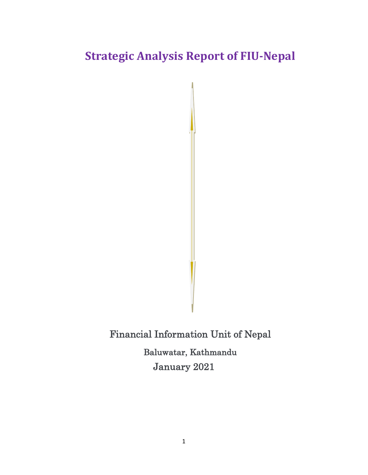# **Strategic Analysis Report of FIU-Nepal**

Financial Information Unit of Nepal Baluwatar, Kathmandu January 2021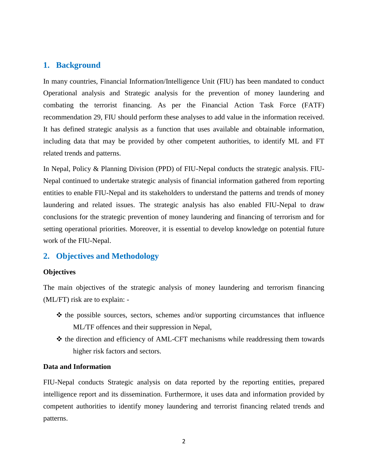#### **1. Background**

In many countries, Financial Information/Intelligence Unit (FIU) has been mandated to conduct Operational analysis and Strategic analysis for the prevention of money laundering and combating the terrorist financing. As per the Financial Action Task Force (FATF) recommendation 29, FIU should perform these analyses to add value in the information received. It has defined strategic analysis as a function that uses available and obtainable information, including data that may be provided by other competent authorities, to identify ML and FT related trends and patterns.

In Nepal, Policy & Planning Division (PPD) of FIU-Nepal conducts the strategic analysis. FIU-Nepal continued to undertake strategic analysis of financial information gathered from reporting entities to enable FIU-Nepal and its stakeholders to understand the patterns and trends of money laundering and related issues. The strategic analysis has also enabled FIU-Nepal to draw conclusions for the strategic prevention of money laundering and financing of terrorism and for setting operational priorities. Moreover, it is essential to develop knowledge on potential future work of the FIU-Nepal.

#### **2. Objectives and Methodology**

#### **Objectives**

The main objectives of the strategic analysis of money laundering and terrorism financing (ML/FT) risk are to explain: -

- $\hat{\mathbf{v}}$  the possible sources, sectors, schemes and/or supporting circumstances that influence ML/TF offences and their suppression in Nepal,
- $\triangle$  the direction and efficiency of AML-CFT mechanisms while readdressing them towards higher risk factors and sectors.

#### **Data and Information**

FIU-Nepal conducts Strategic analysis on data reported by the reporting entities, prepared intelligence report and its dissemination. Furthermore, it uses data and information provided by competent authorities to identify money laundering and terrorist financing related trends and patterns.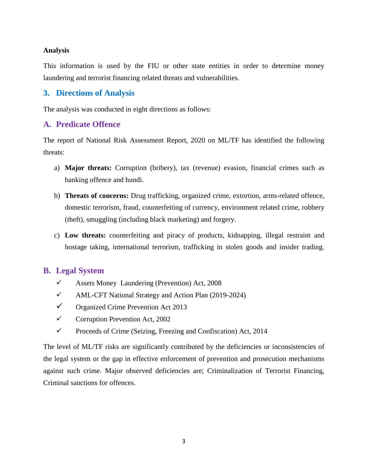### **Analysis**

This information is used by the FIU or other state entities in order to determine money laundering and terrorist financing related threats and vulnerabilities.

# **3. Directions of Analysis**

The analysis was conducted in eight directions as follows:

# **A. Predicate Offence**

The report of National Risk Assessment Report, 2020 on ML/TF has identified the following threats:

- a) **Major threats:** Corruption (bribery), tax (revenue) evasion, financial crimes such as banking offence and hundi.
- b) **Threats of concerns:** Drug trafficking, organized crime, extortion, arms-related offence, domestic terrorism, fraud, counterfeiting of currency, environment related crime, robbery (theft), smuggling (including black marketing) and forgery.
- c) **Low threats:** counterfeiting and piracy of products, kidnapping, illegal restraint and hostage taking, international terrorism, trafficking in stolen goods and insider trading.

# **B. Legal System**

- $\checkmark$  Assets Money Laundering (Prevention) Act, 200[8](https://archive.nrb.org.np/fiu/pdffiles/AMLCFT_national_strategy_and_action_plan.pdf)
- [AML-CFT National Strategy and Action Plan \(2019-2024\)](https://archive.nrb.org.np/fiu/pdffiles/AMLCFT_national_strategy_and_action_plan.pdf)
- $\checkmark$  Organized Crime Prevention Act 2013
- $\checkmark$  Corruption Prevention Act, 2002
- $\checkmark$  Proceeds of Crime (Seizing, Freezing and Confiscation) Act, 2014

The level of ML/TF risks are significantly contributed by the deficiencies or inconsistencies of the legal system or the gap in effective enforcement of prevention and prosecution mechanisms against such crime. Major observed deficiencies are; Criminalization of Terrorist Financing, Criminal sanctions for offences.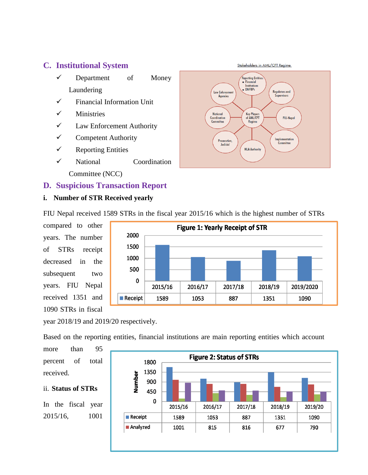# **C. Institutional System**

- $\checkmark$  Department of Money Laundering
- $\checkmark$  Financial Information Unit
- $\checkmark$  Ministries
- $\checkmark$  Law Enforcement Authority
- $\checkmark$  Competent Authority
- $\checkmark$  Reporting Entities
- National Coordination

Committee (NCC)

# **D. Suspicious Transaction Report**

### **i. Number of STR Received yearly**



FIU Nepal received 1589 STRs in the fiscal year 2015/16 which is the highest number of STRs

compared to other years. The number of STRs receipt decreased in the subsequent two years. FIU Nepal received 1351 and 1090 STRs in fiscal



year 2018/19 and 2019/20 respectively.

Based on the reporting entities, financial institutions are main reporting entities which account

more than 95 percent of total received.

### ii. **Status of STRs**

In the fiscal year 2015/16, 1001

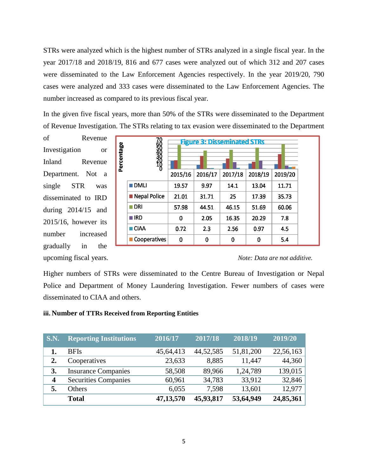STRs were analyzed which is the highest number of STRs analyzed in a single fiscal year. In the year 2017/18 and 2018/19, 816 and 677 cases were analyzed out of which 312 and 207 cases were disseminated to the Law Enforcement Agencies respectively. In the year 2019/20, 790 cases were analyzed and 333 cases were disseminated to the Law Enforcement Agencies. The number increased as compared to its previous fiscal year.

In the given five fiscal years, more than 50% of the STRs were disseminated to the Department of Revenue Investigation. The STRs relating to tax evasion were disseminated to the Department

of Revenue Investigation or Inland Revenue Department. Not a single STR was disseminated to IRD during 2014/15 and 2015/16, however its number increased gradually in the



#### upcoming fiscal years. *Note: Data are not additive.*

Higher numbers of STRs were disseminated to the Centre Bureau of Investigation or Nepal Police and Department of Money Laundering Investigation. Fewer numbers of cases were disseminated to CIAA and others.

#### **iii. Number of TTRs Received from Reporting Entities**

| $\overline{\phantom{a}}$ S.N. | <b>Reporting Institutions</b> | 2016/17   | 2017/18   | 2018/19   | 2019/20   |
|-------------------------------|-------------------------------|-----------|-----------|-----------|-----------|
|                               | <b>BFIs</b>                   | 45,64,413 | 44,52,585 | 51,81,200 | 22,56,163 |
| 2.                            | Cooperatives                  | 23,633    | 8,885     | 11,447    | 44,360    |
| 3.                            | <b>Insurance Companies</b>    | 58,508    | 89,966    | 1,24,789  | 139,015   |
| $\overline{\mathbf{4}}$       | <b>Securities Companies</b>   | 60,961    | 34,783    | 33,912    | 32,846    |
| 5.                            | <b>Others</b>                 | 6,055     | 7,598     | 13,601    | 12,977    |
|                               | <b>Total</b>                  | 47,13,570 | 45,93,817 | 53,64,949 | 24,85,361 |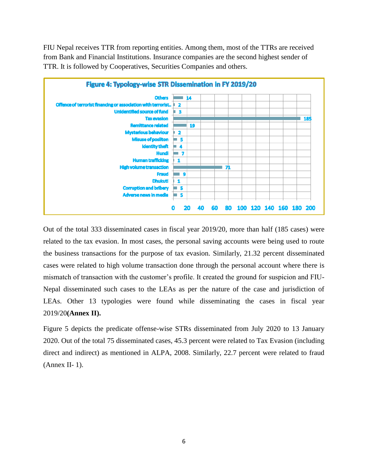FIU Nepal receives TTR from reporting entities. Among them, most of the TTRs are received from Bank and Financial Institutions. Insurance companies are the second highest sender of TTR. It is followed by Cooperatives, Securities Companies and others.



Out of the total 333 disseminated cases in fiscal year 2019/20, more than half (185 cases) were related to the tax evasion. In most cases, the personal saving accounts were being used to route the business transactions for the purpose of tax evasion. Similarly, 21.32 percent disseminated cases were related to high volume transaction done through the personal account where there is mismatch of transaction with the customer's profile. It created the ground for suspicion and FIU-Nepal disseminated such cases to the LEAs as per the nature of the case and jurisdiction of LEAs. Other 13 typologies were found while disseminating the cases in fiscal year 2019/20**(Annex II).**

Figure 5 depicts the predicate offense-wise STRs disseminated from July 2020 to 13 January 2020. Out of the total 75 disseminated cases, 45.3 percent were related to Tax Evasion (including direct and indirect) as mentioned in ALPA, 2008. Similarly, 22.7 percent were related to fraud (Annex II- 1).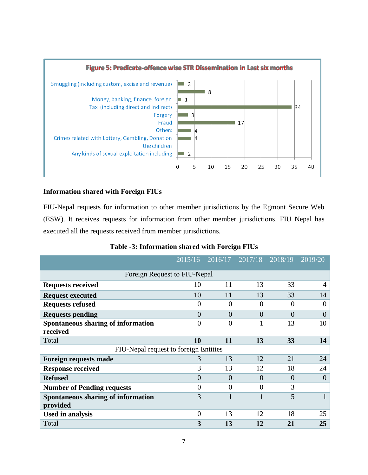

#### **Information shared with Foreign FIUs**

FIU-Nepal requests for information to other member jurisdictions by the Egmont Secure Web (ESW). It receives requests for information from other member jurisdictions. FIU Nepal has executed all the requests received from member jurisdictions.

|                                                | 2015/16        | 2016/17        | 2017/18        | 2018/19  | 2019/20        |
|------------------------------------------------|----------------|----------------|----------------|----------|----------------|
| Foreign Request to FIU-Nepal                   |                |                |                |          |                |
| <b>Requests received</b>                       | 10             | 11             | 13             | 33       | $\overline{4}$ |
| <b>Request executed</b>                        | 10             | 11             | 13             | 33       | 14             |
| <b>Requests refused</b>                        | $\theta$       | $\theta$       | $\theta$       | 0        | $\overline{0}$ |
| <b>Requests pending</b>                        | $\overline{0}$ | $\overline{0}$ | $\overline{0}$ | $\theta$ | $\overline{0}$ |
| Spontaneous sharing of information<br>received | $\theta$       | $\theta$       |                | 13       | 10             |
| Total                                          | 10             | 11             | 13             | 33       | 14             |
| FIU-Nepal request to foreign Entities          |                |                |                |          |                |
| <b>Foreign requests made</b>                   | 3              | 13             | 12             | 21       | 24             |
| <b>Response received</b>                       | 3              | 13             | 12             | 18       | 24             |
| <b>Refused</b>                                 | $\theta$       | $\Omega$       | $\Omega$       | $\theta$ | $\overline{0}$ |
| <b>Number of Pending requests</b>              | $\Omega$       | $\Omega$       | $\Omega$       | 3        |                |
| Spontaneous sharing of information<br>provided | 3              |                |                | 5        |                |
| <b>Used in analysis</b>                        | $\theta$       | 13             | 12             | 18       | 25             |
| Total                                          | 3              | 13             | 12             | 21       | 25             |

**Table -3: Information shared with Foreign FIUs**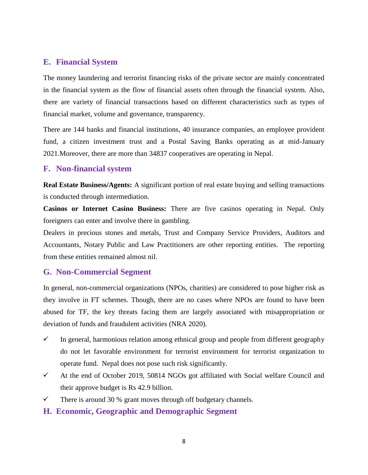# **E. Financial System**

The money laundering and terrorist financing risks of the private sector are mainly concentrated in the financial system as the flow of financial assets often through the financial system. Also, there are variety of financial transactions based on different characteristics such as types of financial market, volume and governance, transparency.

There are 144 banks and financial institutions, 40 insurance companies, an employee provident fund, a citizen investment trust and a Postal Saving Banks operating as at mid-January 2021.Moreover, there are more than 34837 cooperatives are operating in Nepal.

# **F. Non-financial system**

**Real Estate Business/Agents:** A significant portion of real estate buying and selling transactions is conducted through intermediation.

**Casinos or Internet Casino Business:** There are five casinos operating in Nepal. Only foreigners can enter and involve there in gambling.

Dealers in precious stones and metals, Trust and Company Service Providers, Auditors and Accountants, Notary Public and Law Practitioners are other reporting entities. The reporting from these entities remained almost nil.

# **G. Non-Commercial Segment**

In general, non-commercial organizations (NPOs, charities) are considered to pose higher risk as they involve in FT schemes. Though, there are no cases where NPOs are found to have been abused for TF, the key threats facing them are largely associated with misappropriation or deviation of funds and fraudulent activities (NRA 2020).

- $\checkmark$  In general, harmonious relation among ethnical group and people from different geography do not let favorable environment for terrorist environment for terrorist organization to operate fund. Nepal does not pose such risk significantly.
- $\checkmark$  At the end of October 2019, 50814 NGOs got affiliated with Social welfare Council and their approve budget is Rs 42.9 billion.
- $\checkmark$  There is around 30 % grant moves through off budgetary channels.
- **H. Economic, Geographic and Demographic Segment**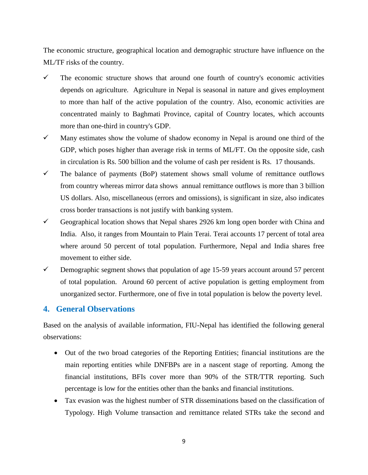The economic structure, geographical location and demographic structure have influence on the ML/TF risks of the country.

- $\checkmark$  The economic structure shows that around one fourth of country's economic activities depends on agriculture. Agriculture in Nepal is seasonal in nature and gives employment to more than half of the active population of the country. Also, economic activities are concentrated mainly to Baghmati Province, capital of Country locates, which accounts more than one-third in country's GDP.
- $\checkmark$  Many estimates show the volume of shadow economy in Nepal is around one third of the GDP, which poses higher than average risk in terms of ML/FT. On the opposite side, cash in circulation is Rs. 500 billion and the volume of cash per resident is Rs. 17 thousands.
- $\checkmark$  The balance of payments (BoP) statement shows small volume of remittance outflows from country whereas mirror data shows annual remittance outflows is more than 3 billion US dollars. Also, miscellaneous (errors and omissions), is significant in size, also indicates cross border transactions is not justify with banking system.
- Geographical location shows that Nepal shares 2926 km long open border with China and India. Also, it ranges from Mountain to Plain Terai. Terai accounts 17 percent of total area where around 50 percent of total population. Furthermore, Nepal and India shares free movement to either side.
- $\checkmark$  Demographic segment shows that population of age 15-59 years account around 57 percent of total population. Around 60 percent of active population is getting employment from unorganized sector. Furthermore, one of five in total population is below the poverty level.

### **4. General Observations**

Based on the analysis of available information, FIU-Nepal has identified the following general observations:

- Out of the two broad categories of the Reporting Entities; financial institutions are the main reporting entities while DNFBPs are in a nascent stage of reporting. Among the financial institutions, BFIs cover more than 90% of the STR/TTR reporting. Such percentage is low for the entities other than the banks and financial institutions.
- Tax evasion was the highest number of STR disseminations based on the classification of Typology. High Volume transaction and remittance related STRs take the second and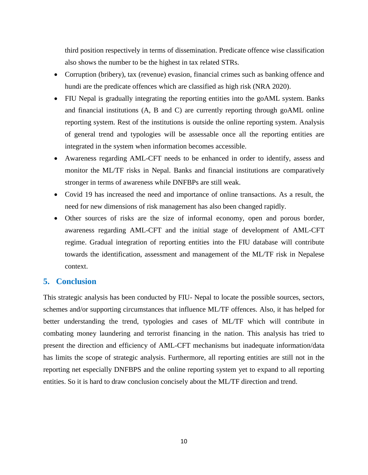third position respectively in terms of dissemination. Predicate offence wise classification also shows the number to be the highest in tax related STRs.

- Corruption (bribery), tax (revenue) evasion, financial crimes such as banking offence and hundi are the predicate offences which are classified as high risk (NRA 2020).
- FIU Nepal is gradually integrating the reporting entities into the goAML system. Banks and financial institutions (A, B and C) are currently reporting through goAML online reporting system. Rest of the institutions is outside the online reporting system. Analysis of general trend and typologies will be assessable once all the reporting entities are integrated in the system when information becomes accessible.
- Awareness regarding AML-CFT needs to be enhanced in order to identify, assess and monitor the ML/TF risks in Nepal. Banks and financial institutions are comparatively stronger in terms of awareness while DNFBPs are still weak.
- Covid 19 has increased the need and importance of online transactions. As a result, the need for new dimensions of risk management has also been changed rapidly.
- Other sources of risks are the size of informal economy, open and porous border, awareness regarding AML-CFT and the initial stage of development of AML-CFT regime. Gradual integration of reporting entities into the FIU database will contribute towards the identification, assessment and management of the ML/TF risk in Nepalese context.

# **5. Conclusion**

This strategic analysis has been conducted by FIU- Nepal to locate the possible sources, sectors, schemes and/or supporting circumstances that influence ML/TF offences. Also, it has helped for better understanding the trend, typologies and cases of ML/TF which will contribute in combating money laundering and terrorist financing in the nation. This analysis has tried to present the direction and efficiency of AML-CFT mechanisms but inadequate information/data has limits the scope of strategic analysis. Furthermore, all reporting entities are still not in the reporting net especially DNFBPS and the online reporting system yet to expand to all reporting entities. So it is hard to draw conclusion concisely about the ML/TF direction and trend.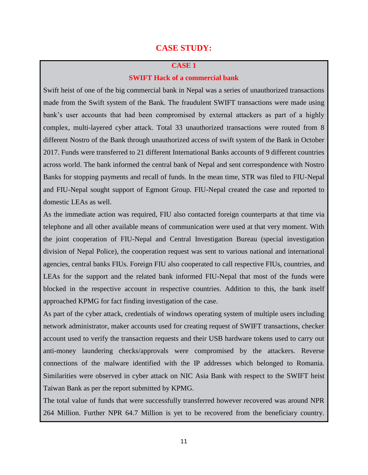# **CASE STUDY:**

#### **CASE 1**

#### **SWIFT Hack of a commercial bank**

Swift heist of one of the big commercial bank in Nepal was a series of unauthorized transactions made from the Swift system of the Bank. The fraudulent SWIFT transactions were made using bank's user accounts that had been compromised by external attackers as part of a highly complex, multi-layered cyber attack. Total 33 unauthorized transactions were routed from 8 different Nostro of the Bank through unauthorized access of swift system of the Bank in October 2017. Funds were transferred to 21 different International Banks accounts of 9 different countries across world. The bank informed the central bank of Nepal and sent correspondence with Nostro Banks for stopping payments and recall of funds. In the mean time, STR was filed to FIU-Nepal and FIU-Nepal sought support of Egmont Group. FIU-Nepal created the case and reported to domestic LEAs as well.

As the immediate action was required, FIU also contacted foreign counterparts at that time via telephone and all other available means of communication were used at that very moment. With the joint cooperation of FIU-Nepal and Central Investigation Bureau (special investigation division of Nepal Police), the cooperation request was sent to various national and international agencies, central banks FIUs. Foreign FIU also cooperated to call respective FIUs, countries, and LEAs for the support and the related bank informed FIU-Nepal that most of the funds were blocked in the respective account in respective countries. Addition to this, the bank itself approached KPMG for fact finding investigation of the case.

As part of the cyber attack, credentials of windows operating system of multiple users including network administrator, maker accounts used for creating request of SWIFT transactions, checker account used to verify the transaction requests and their USB hardware tokens used to carry out anti-money laundering checks/approvals were compromised by the attackers. Reverse connections of the malware identified with the IP addresses which belonged to Romania. Similarities were observed in cyber attack on NIC Asia Bank with respect to the SWIFT heist Taiwan Bank as per the report submitted by KPMG.

The total value of funds that were successfully transferred however recovered was around NPR 264 Million. Further NPR 64.7 Million is yet to be recovered from the beneficiary country.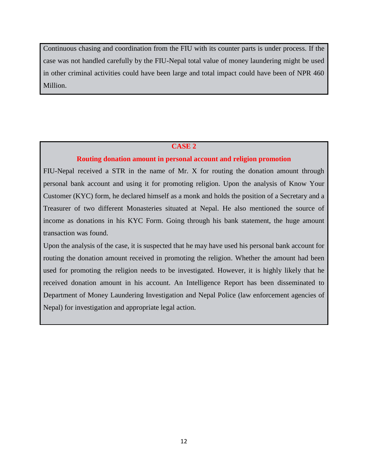Continuous chasing and coordination from the FIU with its counter parts is under process. If the case was not handled carefully by the FIU-Nepal total value of money laundering might be used in other criminal activities could have been large and total impact could have been of NPR 460 Million.

#### **CASE 2**

#### **Routing donation amount in personal account and religion promotion**

FIU-Nepal received a STR in the name of Mr. X for routing the donation amount through personal bank account and using it for promoting religion. Upon the analysis of Know Your Customer (KYC) form, he declared himself as a monk and holds the position of a Secretary and a Treasurer of two different Monasteries situated at Nepal. He also mentioned the source of income as donations in his KYC Form. Going through his bank statement, the huge amount transaction was found.

Upon the analysis of the case, it is suspected that he may have used his personal bank account for routing the donation amount received in promoting the religion. Whether the amount had been used for promoting the religion needs to be investigated. However, it is highly likely that he received donation amount in his account. An Intelligence Report has been disseminated to Department of Money Laundering Investigation and Nepal Police (law enforcement agencies of Nepal) for investigation and appropriate legal action.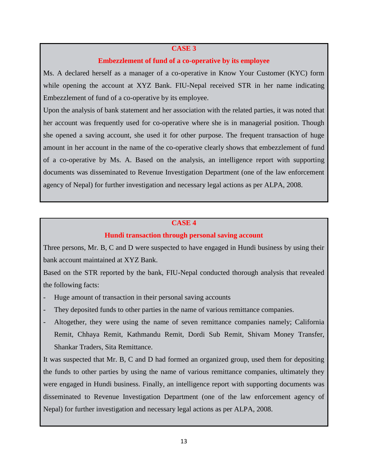#### **CASE 3**

#### **Embezzlement of fund of a co-operative by its employee**

Ms. A declared herself as a manager of a co-operative in Know Your Customer (KYC) form while opening the account at XYZ Bank. FIU-Nepal received STR in her name indicating Embezzlement of fund of a co-operative by its employee.

Upon the analysis of bank statement and her association with the related parties, it was noted that her account was frequently used for co-operative where she is in managerial position. Though she opened a saving account, she used it for other purpose. The frequent transaction of huge amount in her account in the name of the co-operative clearly shows that embezzlement of fund of a co-operative by Ms. A. Based on the analysis, an intelligence report with supporting documents was disseminated to Revenue Investigation Department (one of the law enforcement agency of Nepal) for further investigation and necessary legal actions as per ALPA, 2008.

#### **CASE 4**

#### **Hundi transaction through personal saving account**

Three persons, Mr. B, C and D were suspected to have engaged in Hundi business by using their bank account maintained at XYZ Bank.

Based on the STR reported by the bank, FIU-Nepal conducted thorough analysis that revealed the following facts:

- Huge amount of transaction in their personal saving accounts
- They deposited funds to other parties in the name of various remittance companies.
- Altogether, they were using the name of seven remittance companies namely; California Remit, Chhaya Remit, Kathmandu Remit, Dordi Sub Remit, Shivam Money Transfer, Shankar Traders, Sita Remittance.

It was suspected that Mr. B, C and D had formed an organized group, used them for depositing the funds to other parties by using the name of various remittance companies, ultimately they were engaged in Hundi business. Finally, an intelligence report with supporting documents was disseminated to Revenue Investigation Department (one of the law enforcement agency of Nepal) for further investigation and necessary legal actions as per ALPA, 2008.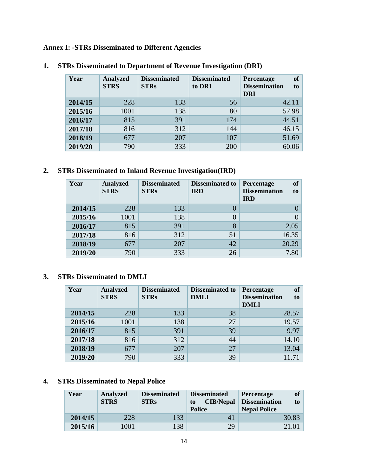**Annex I: -STRs Disseminated to Different Agencies**

| Year    | <b>Analyzed</b><br><b>STRS</b> | <b>Disseminated</b><br><b>STRs</b> | <b>Disseminated</b><br>to DRI | <b>of</b><br>Percentage<br><b>Dissemination</b><br>to<br><b>DRI</b> |
|---------|--------------------------------|------------------------------------|-------------------------------|---------------------------------------------------------------------|
| 2014/15 | 228                            | 133                                | 56                            | 42.11                                                               |
| 2015/16 | 1001                           | 138                                | 80                            | 57.98                                                               |
| 2016/17 | 815                            | 391                                | 174                           | 44.51                                                               |
| 2017/18 | 816                            | 312                                | 144                           | 46.15                                                               |
| 2018/19 | 677                            | 207                                | 107                           | 51.69                                                               |
| 2019/20 | 790                            | 333                                | 200                           | 60.06                                                               |

### **1. STRs Disseminated to Department of Revenue Investigation (DRI)**

### **2. STRs Disseminated to Inland Revenue Investigation(IRD)**

| Year    | <b>Analyzed</b><br><b>STRS</b> | <b>Disseminated</b><br><b>STRs</b> | <b>Disseminated to</b><br><b>IRD</b> | of<br><b>Percentage</b><br><b>Dissemination</b><br>to<br><b>IRD</b> |
|---------|--------------------------------|------------------------------------|--------------------------------------|---------------------------------------------------------------------|
| 2014/15 | 228                            | 133                                |                                      |                                                                     |
| 2015/16 | 1001                           | 138                                |                                      |                                                                     |
| 2016/17 | 815                            | 391                                | 8                                    | 2.05                                                                |
| 2017/18 | 816                            | 312                                | 51                                   | 16.35                                                               |
| 2018/19 | 677                            | 207                                | 42                                   | 20.29                                                               |
| 2019/20 | 790                            | 333                                | 26                                   | 7.80                                                                |

### **3. STRs Disseminated to DMLI**

| Year    | <b>Analyzed</b><br><b>STRS</b> | <b>Disseminated</b><br><b>STRs</b> | <b>Disseminated to</b><br><b>DMLI</b> | <b>of</b><br><b>Percentage</b><br><b>Dissemination</b><br>to<br><b>DMLI</b> |
|---------|--------------------------------|------------------------------------|---------------------------------------|-----------------------------------------------------------------------------|
| 2014/15 | 228                            | 133                                | 38                                    | 28.57                                                                       |
| 2015/16 | 1001                           | 138                                | 27                                    | 19.57                                                                       |
| 2016/17 | 815                            | 391                                | 39                                    | 9.97                                                                        |
| 2017/18 | 816                            | 312                                | 44                                    | 14.10                                                                       |
| 2018/19 | 677                            | 207                                | 27                                    | 13.04                                                                       |
| 2019/20 | 790                            | 333                                | 39                                    |                                                                             |

# **4. STRs Disseminated to Nepal Police**

| Year    | <b>Analyzed</b><br><b>STRS</b> | <b>Disseminated</b><br><b>STRs</b> | <b>Disseminated</b><br><b>CIB/Nepal</b><br>to<br><b>Police</b> | <b>of</b><br><b>Percentage</b><br><b>Dissemination</b><br>to<br><b>Nepal Police</b> |
|---------|--------------------------------|------------------------------------|----------------------------------------------------------------|-------------------------------------------------------------------------------------|
| 2014/15 | 228                            | 133                                | 41                                                             | 30.83                                                                               |
| 2015/16 | 1001                           | 138                                | 29                                                             | 21.01                                                                               |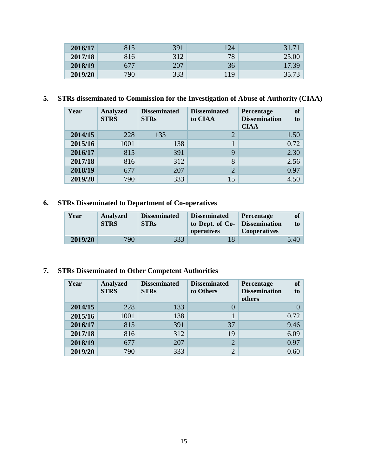| 2016/17 | 815 | 391 | .24 | 31.7  |
|---------|-----|-----|-----|-------|
| 2017/18 | 816 | 312 | 78  |       |
| 2018/19 | 677 | 207 | 36  | 17.39 |
| 2019/20 | 790 | 333 | 19  | 35.73 |

# **5. STRs disseminated to Commission for the Investigation of Abuse of Authority (CIAA)**

| Year    | <b>Analyzed</b><br><b>STRS</b> | <b>Disseminated</b><br><b>STRs</b> | <b>Disseminated</b><br>to CIAA | of<br><b>Percentage</b><br><b>Dissemination</b><br>to<br><b>CIAA</b> |
|---------|--------------------------------|------------------------------------|--------------------------------|----------------------------------------------------------------------|
| 2014/15 | 228                            | 133                                |                                | 1.50                                                                 |
| 2015/16 | 1001                           | 138                                |                                | 0.72                                                                 |
| 2016/17 | 815                            | 391                                | 9                              | 2.30                                                                 |
| 2017/18 | 816                            | 312                                | 8                              | 2.56                                                                 |
| 2018/19 | 677                            | 207                                | $\overline{2}$                 | 0.97                                                                 |
| 2019/20 | 790                            | 333                                | 15                             | 4.50                                                                 |

# **6. STRs Disseminated to Department of Co-operatives**

| Year    | Analyzed<br><b>STRS</b> | <b>Disseminated</b><br><b>STRs</b> | <b>Disseminated</b><br>to Dept. of Co-<br>operatives | <b>Percentage</b><br><b>Dissemination</b><br><b>Cooperatives</b> | of <sub>1</sub><br>to |
|---------|-------------------------|------------------------------------|------------------------------------------------------|------------------------------------------------------------------|-----------------------|
| 2019/20 | 790                     | 333                                |                                                      |                                                                  | 5.40                  |

### **7. STRs Disseminated to Other Competent Authorities**

| Year    | <b>Analyzed</b><br><b>STRS</b> | <b>Disseminated</b><br><b>STRs</b> | <b>Disseminated</b><br>to Others | <b>of</b><br>Percentage<br><b>Dissemination</b><br>to<br>others |
|---------|--------------------------------|------------------------------------|----------------------------------|-----------------------------------------------------------------|
| 2014/15 | 228                            | 133                                |                                  |                                                                 |
| 2015/16 | 1001                           | 138                                |                                  | 0.72                                                            |
| 2016/17 | 815                            | 391                                | 37                               | 9.46                                                            |
| 2017/18 | 816                            | 312                                | 19                               | 6.09                                                            |
| 2018/19 | 677                            | 207                                | $\overline{2}$                   | 0.97                                                            |
| 2019/20 | 790                            | 333                                | ⌒                                | 0.60                                                            |